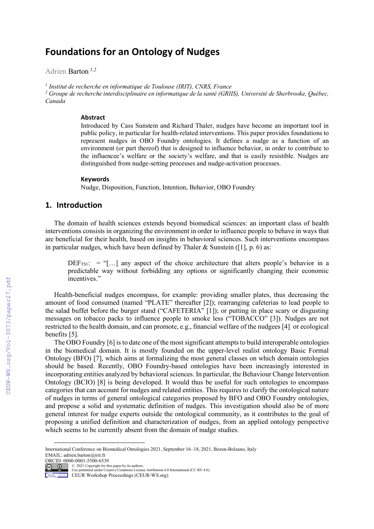# **Foundations for an Ontology of Nudges**

Adrien Barton *1,2*

*<sup>1</sup> Institut de recherche en informatique de Toulouse (IRIT), CNRS, France*

*<sup>2</sup> Groupe de recherche interdisciplinaire en informatique de la santé (GRIIS), Université de Sherbrooke, Québec, Canada*

#### **Abstract**

Introduced by Cass Sunstein and Richard Thaler, nudges have become an important tool in public policy, in particular for health-related interventions. This paper provides foundations to represent nudges in OBO Foundry ontologies. It defines a nudge as a function of an environment (or part thereof) that is designed to influence behavior, in order to contribute to the influencee's welfare or the society's welfare, and that is easily resistible. Nudges are distinguished from nudge-setting processes and nudge-activation processes.

#### **Keywords**

Nudge, Disposition, Function, Intention, Behavior, OBO Foundry

# **1. Introduction**

The domain of health sciences extends beyond biomedical sciences: an important class of health interventions consists in organizing the environment in order to influence people to behave in ways that are beneficial for their health, based on insights in behavioral sciences. Such interventions encompass in particular nudges, which have been defined by Thaler & Sunstein ([1], p. 6) as:

 $DEF_{TS1}:$  = "[...] any aspect of the choice architecture that alters people's behavior in a predictable way without forbidding any options or significantly changing their economic incentives."

Health-beneficial nudges encompass, for example: providing smaller plates, thus decreasing the amount of food consumed (named "PLATE" thereafter [2]); rearranging cafeterias to lead people to the salad buffet before the burger stand ("CAFETERIA" [1]); or putting in place scary or disgusting messages on tobacco packs to influence people to smoke less ("TOBACCO" [3]). Nudges are not restricted to the health domain, and can promote, e.g., financial welfare of the nudgees [4] or ecological benefits [5].

The OBO Foundry [6] is to date one of the most significant attempts to build interoperable ontologies in the biomedical domain. It is mostly founded on the upper-level realist ontology Basic Formal Ontology (BFO) [7], which aims at formalizing the most general classes on which domain ontologies should be based. Recently, OBO Foundry-based ontologies have been increasingly interested in incorporating entities analyzed by behavioral sciences. In particular, the Behaviour Change Intervention Ontology (BCIO) [8] is being developed. It would thus be useful for such ontologies to encompass categories that can account for nudges and related entities. This requires to clarify the ontological nature of nudges in terms of general ontological categories proposed by BFO and OBO Foundry ontologies, and propose a solid and systematic definition of nudges. This investigation should also be of more general interest for nudge experts outside the ontological community, as it contributes to the goal of proposing a unified definition and characterization of nudges, from an applied ontology perspective which seems to be currently absent from the domain of nudge studies.

International Conference on Biomedical Ontologies 2021, September 16–18, 2021, Bozen-Bolzano, Italy EMAIL: adrien.barton@irit.fr

ORCID: 0000-0001-5500-6539

**ED COM** C 2021 Copyright for this paper by its authors.<br>
Use permitted under Creative Commons License Attribution 4.0 International (CC BY 4.0).<br>
CEUR Workshop Proceedings (CEUR-WS.org)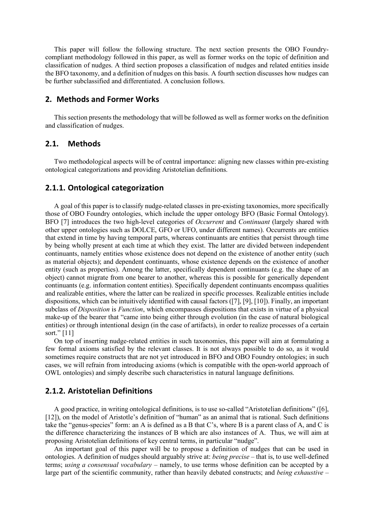This paper will follow the following structure. The next section presents the OBO Foundrycompliant methodology followed in this paper, as well as former works on the topic of definition and classification of nudges. A third section proposes a classification of nudges and related entities inside the BFO taxonomy, and a definition of nudges on this basis. A fourth section discusses how nudges can be further subclassified and differentiated. A conclusion follows.

# **2. Methods and Former Works**

This section presents the methodology that will be followed as well as former works on the definition and classification of nudges.

#### **2.1. Methods**

Two methodological aspects will be of central importance: aligning new classes within pre-existing ontological categorizations and providing Aristotelian definitions.

#### **2.1.1. Ontological categorization**

A goal of this paper is to classify nudge-related classes in pre-existing taxonomies, more specifically those of OBO Foundry ontologies, which include the upper ontology BFO (Basic Formal Ontology). BFO [7] introduces the two high-level categories of *Occurrent* and *Continuant* (largely shared with other upper ontologies such as DOLCE, GFO or UFO, under different names). Occurrents are entities that extend in time by having temporal parts, whereas continuants are entities that persist through time by being wholly present at each time at which they exist. The latter are divided between independent continuants, namely entities whose existence does not depend on the existence of another entity (such as material objects); and dependent continuants, whose existence depends on the existence of another entity (such as properties). Among the latter, specifically dependent continuants (e.g. the shape of an object) cannot migrate from one bearer to another, whereas this is possible for generically dependent continuants (e.g. information content entities). Specifically dependent continuants encompass qualities and realizable entities, where the latter can be realized in specific processes. Realizable entities include dispositions, which can be intuitively identified with causal factors ([7], [9], [10]). Finally, an important subclass of *Disposition* is *Function*, which encompasses dispositions that exists in virtue of a physical make-up of the bearer that "came into being either through evolution (in the case of natural biological entities) or through intentional design (in the case of artifacts), in order to realize processes of a certain sort." [11]

On top of inserting nudge-related entities in such taxonomies, this paper will aim at formulating a few formal axioms satisfied by the relevant classes. It is not always possible to do so, as it would sometimes require constructs that are not yet introduced in BFO and OBO Foundry ontologies; in such cases, we will refrain from introducing axioms (which is compatible with the open-world approach of OWL ontologies) and simply describe such characteristics in natural language definitions.

# **2.1.2. Aristotelian Definitions**

A good practice, in writing ontological definitions, is to use so-called "Aristotelian definitions" ([6], [12]), on the model of Aristotle's definition of "human" as an animal that is rational. Such definitions take the "genus-species" form: an A is defined as a B that C's, where B is a parent class of A, and C is the difference characterizing the instances of B which are also instances of A. Thus, we will aim at proposing Aristotelian definitions of key central terms, in particular "nudge".

An important goal of this paper will be to propose a definition of nudges that can be used in ontologies. A definition of nudges should arguably strive at: *being precise* – that is, to use well-defined terms; *using a consensual vocabulary* – namely, to use terms whose definition can be accepted by a large part of the scientific community, rather than heavily debated constructs; and *being exhaustive* –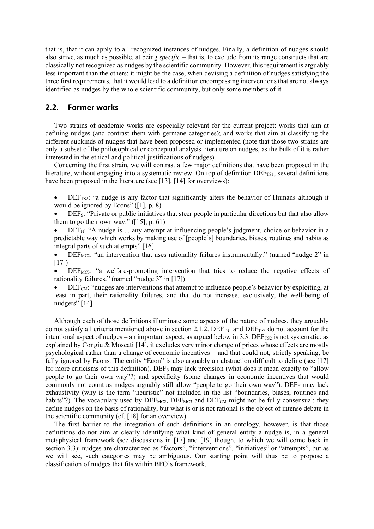that is, that it can apply to all recognized instances of nudges. Finally, a definition of nudges should also strive, as much as possible, at being *specific* – that is, to exclude from its range constructs that are classically not recognized as nudges by the scientific community. However, this requirement is arguably less important than the others: it might be the case, when devising a definition of nudges satisfying the three first requirements, that it would lead to a definition encompassing interventions that are not always identified as nudges by the whole scientific community, but only some members of it.

# **2.2. Former works**

Two strains of academic works are especially relevant for the current project: works that aim at defining nudges (and contrast them with germane categories); and works that aim at classifying the different subkinds of nudges that have been proposed or implemented (note that those two strains are only a subset of the philosophical or conceptual analysis literature on nudges, as the bulk of it is rather interested in the ethical and political justifications of nudges).

Concerning the first strain, we will contrast a few major definitions that have been proposed in the literature, without engaging into a systematic review. On top of definition DEF<sub>TS1</sub>, several definitions have been proposed in the literature (see [13], [14] for overviews):

- DEF<sub>TS2</sub>: "a nudge is any factor that significantly alters the behavior of Humans although it would be ignored by Econs" ([1], p. 8)
- DEF<sub>S</sub>: "Private or public initiatives that steer people in particular directions but that also allow them to go their own way."  $([15]$ , p. 61)
- $DEF_H: "A nudge is ... any attempt at influencing people's judgment, choice or behavior in a$ predictable way which works by making use of [people's] boundaries, biases, routines and habits as integral parts of such attempts" [16]

 $DEF_{MC2}$ : "an intervention that uses rationality failures instrumentally." (named "nudge 2" in [17])

 $DEF_{MC3}$ : "a welfare-promoting intervention that tries to reduce the negative effects of rationality failures." (named "nudge 3" in [17])

 $DEF_{CM}$ : "nudges are interventions that attempt to influence people's behavior by exploiting, at least in part, their rationality failures, and that do not increase, exclusively, the well-being of nudgers" [14]

Although each of those definitions illuminate some aspects of the nature of nudges, they arguably do not satisfy all criteria mentioned above in section 2.1.2.  $DEF_{TS1}$  and  $DEF_{TS2}$  do not account for the intentional aspect of nudges – an important aspect, as argued below in  $3.3$ . DEF<sub>TS2</sub> is not systematic: as explained by Congiu & Moscati [14], it excludes very minor change of prices whose effects are mostly psychological rather than a change of economic incentives – and that could not, strictly speaking, be fully ignored by Econs. The entity "Econ" is also arguably an abstraction difficult to define (see [17] for more criticisms of this definition). DEF<sub>S</sub> may lack precision (what does it mean exactly to "allow" people to go their own way"?) and specificity (some changes in economic incentives that would commonly not count as nudges arguably still allow "people to go their own way"). DEFH may lack exhaustivity (why is the term "heuristic" not included in the list "boundaries, biases, routines and habits"?). The vocabulary used by  $DEF_{MC2}$ ,  $DEF_{MC3}$  and  $DEF_{CM}$  might not be fully consensual: they define nudges on the basis of rationality, but what is or is not rational is the object of intense debate in the scientific community (cf. [18] for an overview).

The first barrier to the integration of such definitions in an ontology, however, is that those definitions do not aim at clearly identifying what kind of general entity a nudge is, in a general metaphysical framework (see discussions in [17] and [19] though, to which we will come back in section 3.3): nudges are characterized as "factors", "interventions", "initiatives" or "attempts", but as we will see, such categories may be ambiguous. Our starting point will thus be to propose a classification of nudges that fits within BFO's framework.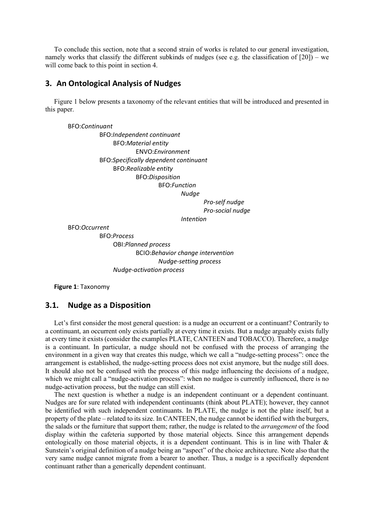To conclude this section, note that a second strain of works is related to our general investigation, namely works that classify the different subkinds of nudges (see e.g. the classification of  $[20]$ ) – we will come back to this point in section 4.

#### **3. An Ontological Analysis of Nudges**

Figure 1 below presents a taxonomy of the relevant entities that will be introduced and presented in this paper.

BFO:*Continuant*

BFO:*Independent continuant* BFO:*Material entity* ENVO:*Environment* BFO:*Specifically dependent continuant* BFO:*Realizable entity* BFO:*Disposition* BFO:*Function Nudge*

*Pro-self nudge Pro-social nudge Intention*

BFO:*Occurrent*

BFO:*Process* OBI:*Planned process* BCIO:*Behavior change intervention Nudge-setting process Nudge-activation process*

**Figure 1**: Taxonomy

#### **3.1. Nudge as a Disposition**

Let's first consider the most general question: is a nudge an occurrent or a continuant? Contrarily to a continuant, an occurrent only exists partially at every time it exists. But a nudge arguably exists fully at every time it exists (consider the examples PLATE, CANTEEN and TOBACCO). Therefore, a nudge is a continuant. In particular, a nudge should not be confused with the process of arranging the environment in a given way that creates this nudge, which we call a "nudge-setting process": once the arrangement is established, the nudge-setting process does not exist anymore, but the nudge still does. It should also not be confused with the process of this nudge influencing the decisions of a nudgee, which we might call a "nudge-activation process": when no nudgee is currently influenced, there is no nudge-activation process, but the nudge can still exist.

The next question is whether a nudge is an independent continuant or a dependent continuant. Nudges are for sure related with independent continuants (think about PLATE); however, they cannot be identified with such independent continuants. In PLATE, the nudge is not the plate itself, but a property of the plate – related to its size. In CANTEEN, the nudge cannot be identified with the burgers, the salads or the furniture that support them; rather, the nudge is related to the *arrangement* of the food display within the cafeteria supported by those material objects. Since this arrangement depends ontologically on those material objects, it is a dependent continuant. This is in line with Thaler  $\&$ Sunstein's original definition of a nudge being an "aspect" of the choice architecture. Note also that the very same nudge cannot migrate from a bearer to another. Thus, a nudge is a specifically dependent continuant rather than a generically dependent continuant.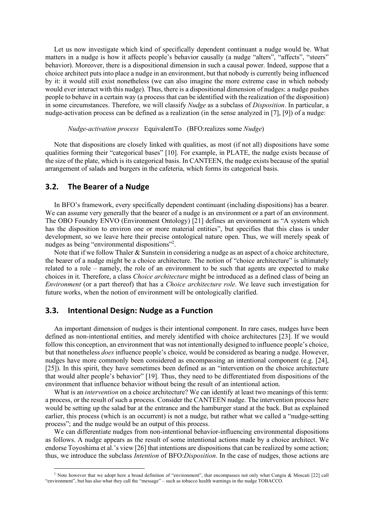Let us now investigate which kind of specifically dependent continuant a nudge would be. What matters in a nudge is how it affects people's behavior causally (a nudge "alters", "affects", "steers" behavior). Moreover, there is a dispositional dimension in such a causal power. Indeed, suppose that a choice architect puts into place a nudge in an environment, but that nobody is currently being influenced by it: it would still exist nonetheless (we can also imagine the more extreme case in which nobody would ever interact with this nudge). Thus, there is a dispositional dimension of nudges: a nudge pushes people to behave in a certain way (a process that can be identified with the realization of the disposition) in some circumstances. Therefore, we will classify *Nudge* as a subclass of *Disposition*. In particular, a nudge-activation process can be defined as a realization (in the sense analyzed in [7], [9]) of a nudge:

*Nudge-activation process* EquivalentTo (BFO:realizes some *Nudge*)

Note that dispositions are closely linked with qualities, as most (if not all) dispositions have some qualities forming their "categorical bases" [10]. For example, in PLATE, the nudge exists because of the size of the plate, which is its categorical basis. In CANTEEN, the nudge exists because of the spatial arrangement of salads and burgers in the cafeteria, which forms its categorical basis.

#### **3.2. The Bearer of a Nudge**

In BFO's framework, every specifically dependent continuant (including dispositions) has a bearer. We can assume very generally that the bearer of a nudge is an environment or a part of an environment. The OBO Foundry ENVO (Environment Ontology) [21] defines an environment as "A system which has the disposition to environ one or more material entities", but specifies that this class is under development, so we leave here their precise ontological nature open. Thus, we will merely speak of nudges as being "environmental dispositions"<sup>2</sup>.

Note that if we follow Thaler & Sunstein in considering a nudge as an aspect of a choice architecture, the bearer of a nudge might be a choice architecture. The notion of "choice architecture" is ultimately related to a role – namely, the role of an environment to be such that agents are expected to make choices in it. Therefore, a class *Choice architecture* might be introduced as a defined class of being an *Environment* (or a part thereof) that has a *Choice architecture role*. We leave such investigation for future works, when the notion of environment will be ontologically clarified.

#### **3.3. Intentional Design: Nudge as a Function**

An important dimension of nudges is their intentional component. In rare cases, nudges have been defined as non-intentional entities, and merely identified with choice architectures [23]. If we would follow this conception, an environment that was not intentionally designed to influence people's choice, but that nonetheless *does* influence people's choice, would be considered as bearing a nudge. However, nudges have more commonly been considered as encompassing an intentional component (e.g. [24], [25]). In this spirit, they have sometimes been defined as an "intervention on the choice architecture that would alter people's behavior" [19]. Thus, they need to be differentiated from dispositions of the environment that influence behavior without being the result of an intentional action.

What is an *intervention* on a choice architecture? We can identify at least two meanings of this term: a process, or the result of such a process. Consider the CANTEEN nudge. The intervention process here would be setting up the salad bar at the entrance and the hamburger stand at the back. But as explained earlier, this process (which is an occurrent) is not a nudge, but rather what we called a "nudge-setting process"; and the nudge would be an output of this process.

We can differentiate nudges from non-intentional behavior-influencing environmental dispositions as follows. A nudge appears as the result of some intentional actions made by a choice architect. We endorse Toyoshima et al.'s view [26] that intentions are dispositions that can be realized by some action; thus, we introduce the subclass *Intention* of BFO:*Disposition*. In the case of nudges, those actions are

<sup>&</sup>lt;sup>2</sup> Note however that we adopt here a broad definition of "environment", that encompasses not only what Congiu & Moscati [22] call "environment", but has also what they call the "message" – such as tobacco health warnings in the nudge TOBACCO.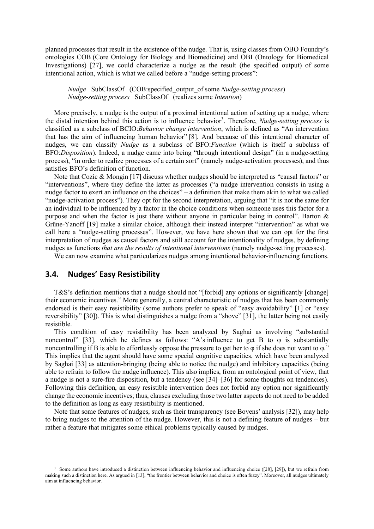planned processes that result in the existence of the nudge. That is, using classes from OBO Foundry's ontologies COB (Core Ontology for Biology and Biomedicine) and OBI (Ontology for Biomedical Investigations) [27], we could characterize a nudge as the result (the specified output) of some intentional action, which is what we called before a "nudge-setting process":

*Nudge* SubClassOf (COB:specified\_output\_of some *Nudge-setting process*) *Nudge-setting process* SubClassOf (realizes some *Intention*)

More precisely, a nudge is the output of a proximal intentional action of setting up a nudge, where the distal intention behind this action is to influence behavior<sup>3</sup>. Therefore, *Nudge-setting process* is classified as a subclass of BCIO:*Behavior change intervention*, which is defined as "An intervention that has the aim of influencing human behavior" [8]. And because of this intentional character of nudges, we can classify *Nudge* as a subclass of BFO:*Function* (which is itself a subclass of BFO:*Disposition*). Indeed, a nudge came into being "through intentional design" (in a nudge-setting process), "in order to realize processes of a certain sort" (namely nudge-activation processes), and thus satisfies BFO's definition of function.

Note that Cozic & Mongin [17] discuss whether nudges should be interpreted as "causal factors" or "interventions", where they define the latter as processes ("a nudge intervention consists in using a nudge factor to exert an influence on the choices<sup>7</sup> – a definition that make them akin to what we called "nudge-activation process"). They opt for the second interpretation, arguing that "it is not the same for an individual to be influenced by a factor in the choice conditions when someone uses this factor for a purpose and when the factor is just there without anyone in particular being in control". Barton  $\&$ Grüne-Yanoff [19] make a similar choice, although their instead interpret "intervention" as what we call here a "nudge-setting processes". However, we have here shown that we can opt for the first interpretation of nudges as causal factors and still account for the intentionality of nudges, by defining nudges as functions *that are the results of intentional interventions* (namely nudge-setting processes).

We can now examine what particularizes nudges among intentional behavior-influencing functions.

# **3.4. Nudges' Easy Resistibility**

T&S's definition mentions that a nudge should not "[forbid] any options or significantly [change] their economic incentives." More generally, a central characteristic of nudges that has been commonly endorsed is their easy resistibility (some authors prefer to speak of "easy avoidability" [1] or "easy reversibility" [30]). This is what distinguishes a nudge from a "shove" [31], the latter being not easily resistible.

This condition of easy resistibility has been analyzed by Saghai as involving "substantial noncontrol" [33], which he defines as follows: "A's influence to get B to φ is substantially noncontrolling if B is able to effortlessly oppose the pressure to get her to φ if she does not want to φ." This implies that the agent should have some special cognitive capacities, which have been analyzed by Saghai [33] as attention-bringing (being able to notice the nudge) and inhibitory capacities (being able to refrain to follow the nudge influence). This also implies, from an ontological point of view, that a nudge is not a sure-fire disposition, but a tendency (see [34]–[36] for some thoughts on tendencies). Following this definition, an easy resistible intervention does not forbid any option nor significantly change the economic incentives; thus, clauses excluding those two latter aspects do not need to be added to the definition as long as easy resistibility is mentioned.

Note that some features of nudges, such as their transparency (see Bovens' analysis [32]), may help to bring nudges to the attention of the nudge. However, this is not a defining feature of nudges – but rather a feature that mitigates some ethical problems typically caused by nudges.

Some authors have introduced a distinction between influencing behavior and influencing choice ([28], [29]), but we refrain from making such a distinction here. As argued in [13], "the frontier between behavior and choice is often fuzzy". Moreover, all nudges ultimately aim at influencing behavior.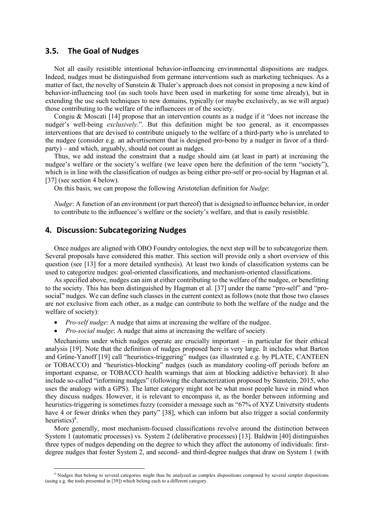#### **3.5. The Goal of Nudges**

Not all easily resistible intentional behavior-influencing environmental dispositions are nudges. Indeed, nudges must be distinguished from germane interventions such as marketing techniques. As a matter of fact, the novelty of Sunstein & Thaler's approach does not consist in proposing a new kind of behavior-influencing tool (as such tools have been used in marketing for some time already), but in extending the use such techniques to new domains, typically (or maybe exclusively, as we will argue) those contributing to the welfare of the influencees or of the society.

Congiu & Moscati [14] propose that an intervention counts as a nudge if it "does not increase the nudger's well-being *exclusively*.". But this definition might be too general, as it encompasses interventions that are devised to contribute uniquely to the welfare of a third-party who is unrelated to the nudgee (consider e.g. an advertisement that is designed pro-bono by a nudger in favor of a thirdparty) – and which, arguably, should not count as nudges.

Thus, we add instead the constraint that a nudge should aim (at least in part) at increasing the nudgee's welfare or the society's welfare (we leave open here the definition of the term "society"), which is in line with the classification of nudges as being either pro-self or pro-social by Hagman et al. [37] (see section 4 below).

On this basis, we can propose the following Aristotelian definition for *Nudge*:

*Nudge*: A function of an environment (or part thereof) that is designed to influence behavior, in order to contribute to the influencee's welfare or the society's welfare, and that is easily resistible.

# **4. Discussion: Subcategorizing Nudges**

Once nudges are aligned with OBO Foundry ontologies, the next step will be to subcategorize them. Several proposals have considered this matter. This section will provide only a short overview of this question (see [13] for a more detailed synthesis). At least two kinds of classification systems can be used to categorize nudges: goal-oriented classifications, and mechanism-oriented classifications.

As specified above, nudges can aim at either contributing to the welfare of the nudgee, or benefitting to the society. This has been distinguished by Hagman et al. [37] under the name "pro-self" and "prosocial" nudges. We can define such classes in the current context as follows (note that those two classes are not exclusive from each other, as a nudge can contribute to both the welfare of the nudge and the welfare of society):

- *Pro-self nudge*: A nudge that aims at increasing the welfare of the nudgee.
- *Pro-social nudge*: A nudge that aims at increasing the welfare of society.

Mechanisms under which nudges operate are crucially important – in particular for their ethical analysis [19]. Note that the definition of nudges proposed here is very large. It includes what Barton and Grüne-Yanoff [19] call "heuristics-triggering" nudges (as illustrated e.g. by PLATE, CANTEEN or TOBACCO) and "heuristics-blocking" nudges (such as mandatory cooling-off periods before an important expanse, or TOBACCO health warnings that aim at blocking addictive behavior). It also include so-called "informing nudges" (following the characterization proposed by Sunstein, 2015, who uses the analogy with a GPS). The latter category might not be what most people have in mind when they discuss nudges. However, it is relevant to encompass it, as the border between informing and heuristics-triggering is sometimes fuzzy (consider a message such as "67% of XYZ University students have 4 or fewer drinks when they party" [38], which can inform but also trigger a social conformity heuristics)<sup>4</sup>.

More generally, most mechanism-focused classifications revolve around the distinction between System 1 (automatic processes) vs. System 2 (deliberative processes) [13]. Baldwin [40] distinguishes three types of nudges depending on the degree to which they affect the autonomy of individuals: firstdegree nudges that foster System 2, and second- and third-degree nudges that draw on System 1 (with

<sup>&</sup>lt;sup>4</sup> Nudges that belong to several categories might thus be analyzed as complex dispositions composed by several simpler dispositions (using e.g. the tools presented in [39]) which belong each to a different category.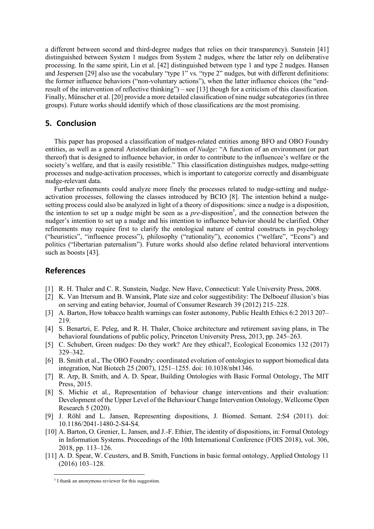a different between second and third-degree nudges that relies on their transparency). Sunstein [41] distinguished between System 1 nudges from System 2 nudges, where the latter rely on deliberative processing. In the same spirit, Lin et al. [42] distinguished between type 1 and type 2 nudges. Hansen and Jespersen [29] also use the vocabulary "type 1" vs. "type 2" nudges, but with different definitions: the former influence behaviors ("non-voluntary actions"), when the latter influence choices (the "endresult of the intervention of reflective thinking") – see [13] though for a criticism of this classification. Finally, Münscher et al. [20] provide a more detailed classification of nine nudge subcategories (in three groups). Future works should identify which of those classifications are the most promising.

#### **5. Conclusion**

This paper has proposed a classification of nudges-related entities among BFO and OBO Foundry entities, as well as a general Aristotelian definition of *Nudge*: "A function of an environment (or part thereof) that is designed to influence behavior, in order to contribute to the influencee's welfare or the society's welfare, and that is easily resistible." This classification distinguishes nudges, nudge-setting processes and nudge-activation processes, which is important to categorize correctly and disambiguate nudge-relevant data.

Further refinements could analyze more finely the processes related to nudge-setting and nudgeactivation processes, following the classes introduced by BCIO [8]. The intention behind a nudgesetting process could also be analyzed in light of a theory of dispositions: since a nudge is a disposition, the intention to set up a nudge might be seen as a  $pre$ -disposition<sup>5</sup>, and the connection between the nudger's intention to set up a nudge and his intention to influence behavior should be clarified. Other refinements may require first to clarify the ontological nature of central constructs in psychology ("heuristics", "influence process"), philosophy ("rationality"), economics ("welfare", "Econs") and politics ("libertarian paternalism"). Future works should also define related behavioral interventions such as boosts [43].

# **References**

- [1] R. H. Thaler and C. R. Sunstein, Nudge. New Have, Connecticut: Yale University Press, 2008.
- [2] K. Van Ittersum and B. Wansink, Plate size and color suggestibility: The Delboeuf illusion's bias on serving and eating behavior, Journal of Consumer Research 39 (2012) 215–228.
- [3] A. Barton, How tobacco health warnings can foster autonomy, Public Health Ethics 6:2 2013 207– 219.
- [4] S. Benartzi, E. Peleg, and R. H. Thaler, Choice architecture and retirement saving plans, in The behavioral foundations of public policy, Princeton University Press, 2013, pp. 245–263.
- [5] C. Schubert, Green nudges: Do they work? Are they ethical?, Ecological Economics 132 (2017) 329–342.
- [6] B. Smith et al., The OBO Foundry: coordinated evolution of ontologies to support biomedical data integration, Nat Biotech 25 (2007), 1251–1255. doi: 10.1038/nbt1346.
- [7] R. Arp, B. Smith, and A. D. Spear, Building Ontologies with Basic Formal Ontology, The MIT Press, 2015.
- [8] S. Michie et al., Representation of behaviour change interventions and their evaluation: Development of the Upper Level of the Behaviour Change Intervention Ontology, Wellcome Open Research 5 (2020).
- [9] J. Röhl and L. Jansen, Representing dispositions, J. Biomed. Semant. 2:S4 (2011). doi: 10.1186/2041-1480-2-S4-S4.
- [10] A. Barton, O. Grenier, L. Jansen, and J.-F. Ethier, The identity of dispositions, in: Formal Ontology in Information Systems. Proceedings of the 10th International Conference (FOIS 2018), vol. 306, 2018, pp. 113–126.
- [11] A. D. Spear, W. Ceusters, and B. Smith, Functions in basic formal ontology, Applied Ontology 11 (2016) 103–128.

 <sup>5</sup> I thank an anonymous reviewer for this suggestion.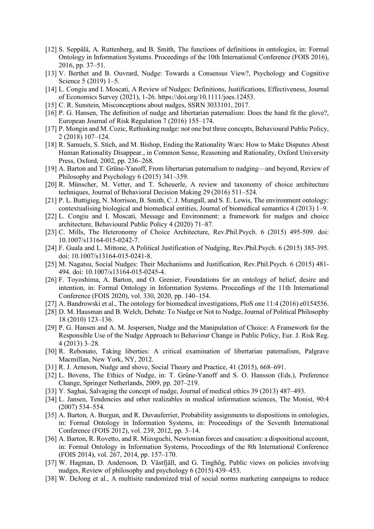- [12] S. Seppälä, A. Ruttenberg, and B. Smith, The functions of definitions in ontologies, in: Formal Ontology in Information Systems. Proceedings of the 10th International Conference (FOIS 2016), 2016, pp. 37–51.
- [13] V. Berthet and B. Ouvrard, Nudge: Towards a Consensus View?, Psychology and Cognitive Science 5 (2019) 1–5.
- [14] L. Congiu and I. Moscati, A Review of Nudges: Definitions, Justifications, Effectiveness, Journal of Economics Survey (2021), 1-26. https://doi.org/10.1111/joes.12453.
- [15] C. R. Sunstein, Misconceptions about nudges, SSRN 3033101, 2017.
- [16] P. G. Hansen, The definition of nudge and libertarian paternalism: Does the hand fit the glove?, European Journal of Risk Regulation 7 (2016) 155–174.
- [17] P. Mongin and M. Cozic, Rethinking nudge: not one but three concepts, Behavioural Public Policy, 2 (2018) 107–124.
- [18] R. Samuels, S. Stich, and M. Bishop, Ending the Rationality Wars: How to Make Disputes About Human Rationality Disappear., in Common Sense, Reasoning and Rationality, Oxford University Press, Oxford, 2002, pp. 236–268.
- [19] A. Barton and T. Grüne-Yanoff, From libertarian paternalism to nudging—and beyond, Review of Philosophy and Psychology 6 (2015) 341–359.
- [20] R. Münscher, M. Vetter, and T. Scheuerle, A review and taxonomy of choice architecture techniques, Journal of Behavioral Decision Making 29 (2016) 511–524.
- [21] P. L. Buttigieg, N. Morrison, B. Smith, C. J. Mungall, and S. E. Lewis, The environment ontology: contextualising biological and biomedical entities, Journal of biomedical semantics 4 (2013) 1–9.
- [22] L. Congiu and I. Moscati, Message and Environment: a framework for nudges and choice architecture, Behavioural Public Policy 4 (2020) 71–87.
- [23] C. Mills, The Heteronomy of Choice Architecture, Rev.Phil.Psych. 6 (2015) 495-509. doi: 10.1007/s13164-015-0242-7.
- [24] F. Guala and L. Mittone, A Political Justification of Nudging, Rev.Phil.Psych. 6 (2015) 385-395. doi: 10.1007/s13164-015-0241-8.
- [25] M. Nagatsu, Social Nudges: Their Mechanisms and Justification, Rev.Phil.Psych. 6 (2015) 481- 494. doi: 10.1007/s13164-015-0245-4.
- [26] F. Toyoshima, A. Barton, and O. Grenier, Foundations for an ontology of belief, desire and intention, in: Formal Ontology in Information Systems. Proceedings of the 11th International Conference (FOIS 2020), vol. 330, 2020, pp. 140–154.
- [27] A. Bandrowski et al., The ontology for biomedical investigations, PloS one 11:4 (2016) e0154556.
- [28] D. M. Hausman and B. Welch, Debate: To Nudge or Not to Nudge, Journal of Political Philosophy 18 (2010) 123–136.
- [29] P. G. Hansen and A. M. Jespersen, Nudge and the Manipulation of Choice: A Framework for the Responsible Use of the Nudge Approach to Behaviour Change in Public Policy, Eur. J. Risk Reg. 4 (2013) 3–28.
- [30] R. Rebonato, Taking liberties: A critical examination of libertarian paternalism, Palgrave Macmillan, New York, NY, 2012.
- [31] R. J. Arneson, Nudge and shove, Social Theory and Practice, 41 (2015), 668–691.
- [32] L. Bovens, The Ethics of Nudge, in: T. Grüne-Yanoff and S. O. Hansson (Eds.), Preference Change, Springer Netherlands, 2009, pp. 207–219.
- [33] Y. Saghai, Salvaging the concept of nudge, Journal of medical ethics 39 (2013) 487–493.
- [34] L. Jansen, Tendencies and other realizables in medical information sciences, The Monist, 90:4 (2007) 534–554.
- [35] A. Barton, A. Burgun, and R. Duvauferrier, Probability assignments to dispositions in ontologies, in: Formal Ontology in Information Systems, in: Proceedings of the Seventh International Conference (FOIS 2012), vol. 239, 2012, pp. 3–14.
- [36] A. Barton, R. Rovetto, and R. Mizoguchi, Newtonian forces and causation: a dispositional account, in: Formal Ontology in Information Systems, Proceedings of the 8th International Conference (FOIS 2014), vol. 267, 2014, pp. 157–170.
- [37] W. Hagman, D. Andersson, D. Västfjäll, and G. Tinghög, Public views on policies involving nudges, Review of philosophy and psychology 6 (2015) 439–453.
- [38] W. DeJong et al., A multisite randomized trial of social norms marketing campaigns to reduce